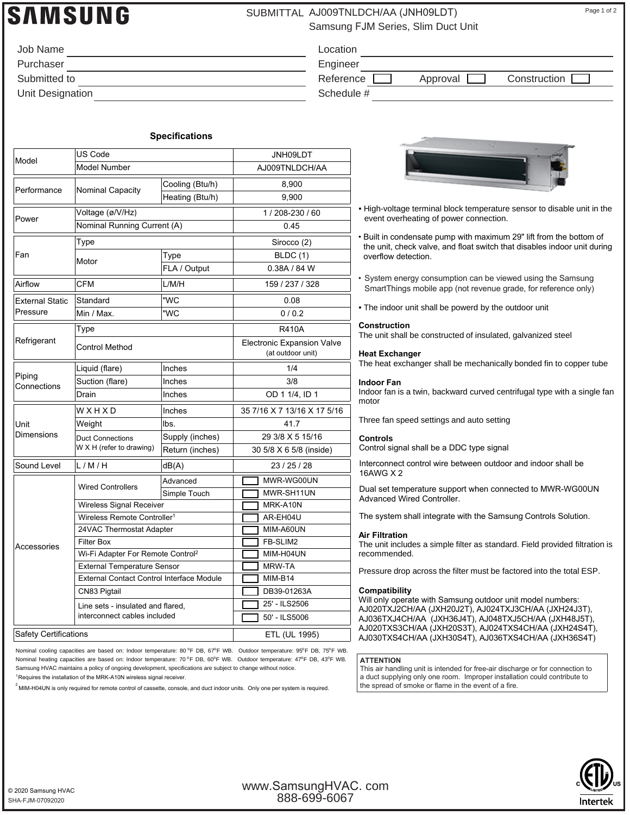## **NMSUNG**

### SUBMITTAL AJ009TNLDCH/AA (JNH09LDT) Page 1 of 2

Location Engineer

Schedule #

Samsung FJM Series, Slim Duct Unit

| Job Name         |  |
|------------------|--|
| Purchaser        |  |
| Submitted to     |  |
| Unit Designation |  |

#### **Specifications**

| Model                              | US Code                                             |                 | JNH09LDT                                               |
|------------------------------------|-----------------------------------------------------|-----------------|--------------------------------------------------------|
|                                    | <b>Model Number</b>                                 |                 | AJ009TNLDCH/AA                                         |
| Performance                        |                                                     | Cooling (Btu/h) | 8,900                                                  |
|                                    | Nominal Capacity                                    | Heating (Btu/h) | 9,900                                                  |
| Power                              | Voltage (ø/V/Hz)                                    |                 | 1/208-230/60                                           |
|                                    | Nominal Running Current (A)                         |                 | 0.45                                                   |
| Fan                                | Type                                                |                 | Sirocco (2)                                            |
|                                    | Motor                                               | Type            | BLDC(1)                                                |
|                                    |                                                     | FLA / Output    | 0.38A / 84 W                                           |
| Airflow                            | <b>CFM</b>                                          | L/M/H           | 159 / 237 / 328                                        |
| <b>External Static</b><br>Pressure | Standard                                            | "WC             | 0.08                                                   |
|                                    | Min / Max.                                          | "WC             | 0/0.2                                                  |
| Refrigerant                        | Type                                                |                 | <b>R410A</b>                                           |
|                                    | <b>Control Method</b>                               |                 | <b>Electronic Expansion Valve</b><br>(at outdoor unit) |
|                                    | Liquid (flare)                                      | Inches          | 1/4                                                    |
| Piping<br>Connections              | Suction (flare)                                     | Inches          | 3/8                                                    |
|                                    | Drain                                               | Inches          | OD 1 1/4, ID 1                                         |
| Unit<br><b>Dimensions</b>          | WXHXD                                               | Inches          | 35 7/16 X 7 13/16 X 17 5/16                            |
|                                    | Weight                                              | lbs.            | 41.7                                                   |
|                                    | <b>Duct Connections</b><br>W X H (refer to drawing) | Supply (inches) | 29 3/8 X 5 15/16                                       |
|                                    |                                                     | Return (inches) | 30 5/8 X 6 5/8 (inside)                                |
| Sound Level                        | L/M/H                                               | dB(A)           | 23 / 25 / 28                                           |
| Accessories                        |                                                     | Advanced        | MWR-WG00UN                                             |
|                                    | <b>Wired Controllers</b>                            | Simple Touch    | MWR-SH11UN                                             |
|                                    | Wireless Signal Receiver                            |                 | MRK-A10N                                               |
|                                    | Wireless Remote Controller <sup>1</sup>             |                 | AR-EH04U                                               |
|                                    | 24VAC Thermostat Adapter                            |                 | MIM-A60UN                                              |
|                                    | <b>Filter Box</b>                                   |                 | FB-SLIM2                                               |
|                                    | Wi-Fi Adapter For Remote Control <sup>2</sup>       |                 | MIM-H04UN                                              |
|                                    | <b>External Temperature Sensor</b>                  |                 | <b>MRW-TA</b>                                          |
|                                    | <b>External Contact Control Interface Module</b>    |                 | MIM-B14                                                |
|                                    | CN83 Pigtail                                        |                 | DB39-01263A                                            |
|                                    | Line sets - insulated and flared,                   |                 | 25' - ILS2506                                          |
|                                    | interconnect cables included                        |                 | 50' - ILS5006                                          |
| Safety Certifications              |                                                     |                 | ETL (UL 1995)                                          |

Nominal cooling capacities are based on: Indoor temperature: 80 °F DB, 67°F WB. Outdoor temperature: 95°F DB, 75°F WB. Nominal heating capacities are based on: Indoor temperature: 70 °F DB, 60°F WB. Outdoor temperature: 47°F DB, 43°F WB. Samsung HVAC maintains a policy of ongoing development, specifications are subject to change without notice.

<sup>1</sup> Requires the installation of the MRK-A10N wireless signal receiver.

 $^2$ MIM-H04UN is only required for remote control of cassette, console, and duct indoor units. Only one per system is required.



Reference **Approval Construction** 

- High-voltage terminal block temperature sensor to disable unit in the event overheating of power connection.
- Built in condensate pump with maximum 29" lift from the bottom of the unit, check valve, and float switch that disables indoor unit during overflow detection.
- System energy consumption can be viewed using the Samsung SmartThings mobile app (not revenue grade, for reference only)
- The indoor unit shall be powerd by the outdoor unit

#### **Construction**

The unit shall be constructed of insulated, galvanized steel

#### **Heat Exchanger**

The heat exchanger shall be mechanically bonded fin to copper tube

#### **Indoor Fan**

Indoor fan is a twin, backward curved centrifugal type with a single fan motor

Three fan speed settings and auto setting

#### **Controls**

Control signal shall be a DDC type signal

Interconnect control wire between outdoor and indoor shall be 16AWG X 2

Dual set temperature support when connected to MWR-WG00UN Advanced Wired Controller.

The system shall integrate with the Samsung Controls Solution.

#### **Air Filtration**

The unit includes a simple filter as standard. Field provided filtration is recommended.

Pressure drop across the filter must be factored into the total ESP.

#### **Compatibility**

Will only operate with Samsung outdoor unit model numbers: AJ020TXJ2CH/AA (JXH20J2T), AJ024TXJ3CH/AA (JXH24J3T), AJ036TXJ4CH/AA (JXH36J4T), AJ048TXJ5CH/AA (JXH48J5T), AJ020TXS3CH/AA (JXH20S3T), AJ024TXS4CH/AA (JXH24S4T), AJ030TXS4CH/AA (JXH30S4T), AJ036TXS4CH/AA (JXH36S4T)

#### **ATTENTION**

This air handling unit is intended for free-air discharge or for connection to a duct supplying only one room. Improper installation could contribute to the spread of smoke or flame in the event of a fire.